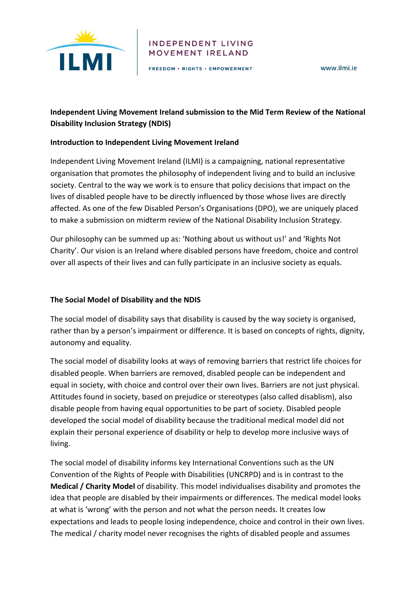

#### **INDEPENDENT LIVING** MOVEMENT IRELAND

FREEDOM . RIGHTS . EMPOWERMENT

www.ilmi.ie

# **Independent Living Movement Ireland submission to the Mid Term Review of the National Disability Inclusion Strategy (NDIS)**

#### **Introduction to Independent Living Movement Ireland**

Independent Living Movement Ireland (ILMI) is a campaigning, national representative organisation that promotes the philosophy of independent living and to build an inclusive society. Central to the way we work is to ensure that policy decisions that impact on the lives of disabled people have to be directly influenced by those whose lives are directly affected. As one of the few Disabled Person's Organisations (DPO), we are uniquely placed to make a submission on midterm review of the National Disability Inclusion Strategy.

Our philosophy can be summed up as: 'Nothing about us without us!' and 'Rights Not Charity'. Our vision is an Ireland where disabled persons have freedom, choice and control over all aspects of their lives and can fully participate in an inclusive society as equals.

### **The Social Model of Disability and the NDIS**

The social model of disability says that disability is caused by the way society is organised, rather than by a person's impairment or difference. It is based on concepts of rights, dignity, autonomy and equality.

The social model of disability looks at ways of removing barriers that restrict life choices for disabled people. When barriers are removed, disabled people can be independent and equal in society, with choice and control over their own lives. Barriers are not just physical. Attitudes found in society, based on prejudice or stereotypes (also called disablism), also disable people from having equal opportunities to be part of society. Disabled people developed the social model of disability because the traditional medical model did not explain their personal experience of disability or help to develop more inclusive ways of living. 

The social model of disability informs key International Conventions such as the UN Convention of the Rights of People with Disabilities (UNCRPD) and is in contrast to the **Medical / Charity Model** of disability. This model individualises disability and promotes the idea that people are disabled by their impairments or differences. The medical model looks at what is 'wrong' with the person and not what the person needs. It creates low expectations and leads to people losing independence, choice and control in their own lives. The medical / charity model never recognises the rights of disabled people and assumes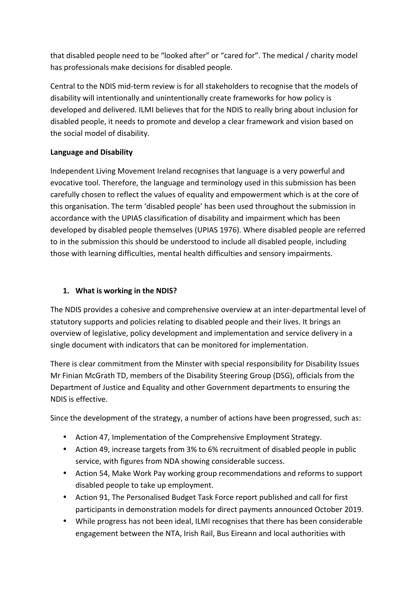that disabled people need to be "looked after" or "cared for". The medical / charity model has professionals make decisions for disabled people.

Central to the NDIS mid-term review is for all stakeholders to recognise that the models of disability will intentionally and unintentionally create frameworks for how policy is developed and delivered. ILMI believes that for the NDIS to really bring about inclusion for disabled people, it needs to promote and develop a clear framework and vision based on the social model of disability.

### **Language and Disability**

Independent Living Movement Ireland recognises that language is a very powerful and evocative tool. Therefore, the language and terminology used in this submission has been carefully chosen to reflect the values of equality and empowerment which is at the core of this organisation. The term 'disabled people' has been used throughout the submission in accordance with the UPIAS classification of disability and impairment which has been developed by disabled people themselves (UPIAS 1976). Where disabled people are referred to in the submission this should be understood to include all disabled people, including those with learning difficulties, mental health difficulties and sensory impairments.

### **1.** What is working in the NDIS?

The NDIS provides a cohesive and comprehensive overview at an inter-departmental level of statutory supports and policies relating to disabled people and their lives. It brings an overview of legislative, policy development and implementation and service delivery in a single document with indicators that can be monitored for implementation.

There is clear commitment from the Minster with special responsibility for Disability Issues Mr Finian McGrath TD, members of the Disability Steering Group (DSG), officials from the Department of Justice and Equality and other Government departments to ensuring the NDIS is effective.

Since the development of the strategy, a number of actions have been progressed, such as:

- Action 47, Implementation of the Comprehensive Employment Strategy.
- Action 49, increase targets from 3% to 6% recruitment of disabled people in public service, with figures from NDA showing considerable success.
- Action 54, Make Work Pay working group recommendations and reforms to support disabled people to take up employment.
- Action 91, The Personalised Budget Task Force report published and call for first participants in demonstration models for direct payments announced October 2019.
- While progress has not been ideal, ILMI recognises that there has been considerable engagement between the NTA, Irish Rail, Bus Eireann and local authorities with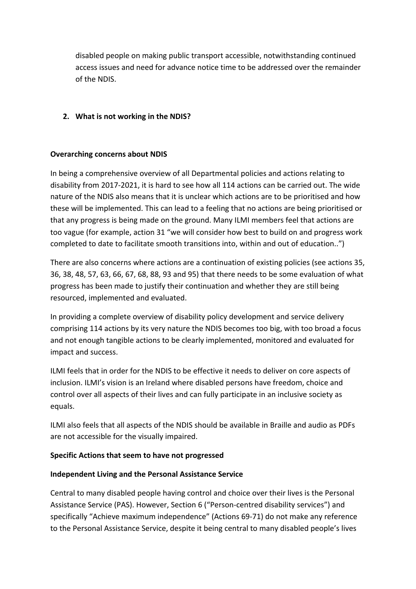disabled people on making public transport accessible, notwithstanding continued access issues and need for advance notice time to be addressed over the remainder of the NDIS.

### **2.** What is not working in the NDIS?

### **Overarching concerns about NDIS**

In being a comprehensive overview of all Departmental policies and actions relating to disability from 2017-2021, it is hard to see how all 114 actions can be carried out. The wide nature of the NDIS also means that it is unclear which actions are to be prioritised and how these will be implemented. This can lead to a feeling that no actions are being prioritised or that any progress is being made on the ground. Many ILMI members feel that actions are too vague (for example, action 31 "we will consider how best to build on and progress work completed to date to facilitate smooth transitions into, within and out of education..")

There are also concerns where actions are a continuation of existing policies (see actions 35, 36, 38, 48, 57, 63, 66, 67, 68, 88, 93 and 95) that there needs to be some evaluation of what progress has been made to justify their continuation and whether they are still being resourced, implemented and evaluated.

In providing a complete overview of disability policy development and service delivery comprising 114 actions by its very nature the NDIS becomes too big, with too broad a focus and not enough tangible actions to be clearly implemented, monitored and evaluated for impact and success.

ILMI feels that in order for the NDIS to be effective it needs to deliver on core aspects of inclusion. ILMI's vision is an Ireland where disabled persons have freedom, choice and control over all aspects of their lives and can fully participate in an inclusive society as equals. 

ILMI also feels that all aspects of the NDIS should be available in Braille and audio as PDFs are not accessible for the visually impaired.

### **Specific Actions that seem to have not progressed**

#### **Independent Living and the Personal Assistance Service**

Central to many disabled people having control and choice over their lives is the Personal Assistance Service (PAS). However, Section 6 ("Person-centred disability services") and specifically "Achieve maximum independence" (Actions 69-71) do not make any reference to the Personal Assistance Service, despite it being central to many disabled people's lives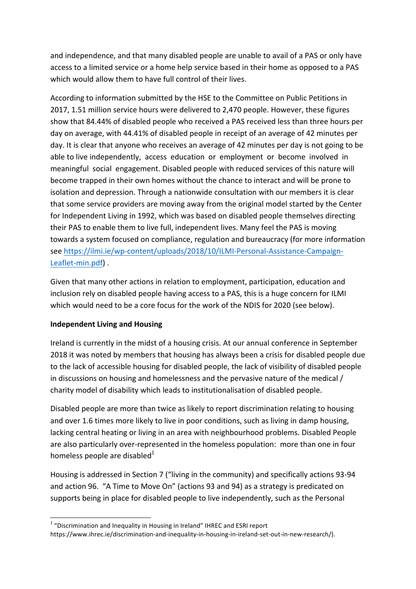and independence, and that many disabled people are unable to avail of a PAS or only have access to a limited service or a home help service based in their home as opposed to a PAS which would allow them to have full control of their lives.

According to information submitted by the HSE to the Committee on Public Petitions in 2017, 1.51 million service hours were delivered to 2,470 people. However, these figures show that 84.44% of disabled people who received a PAS received less than three hours per day on average, with 44.41% of disabled people in receipt of an average of 42 minutes per day. It is clear that anyone who receives an average of 42 minutes per day is not going to be able to live independently, access education or employment or become involved in meaningful social engagement. Disabled people with reduced services of this nature will become trapped in their own homes without the chance to interact and will be prone to isolation and depression. Through a nationwide consultation with our members it is clear that some service providers are moving away from the original model started by the Center for Independent Living in 1992, which was based on disabled people themselves directing their PAS to enable them to live full, independent lives. Many feel the PAS is moving towards a system focused on compliance, regulation and bureaucracy (for more information see https://ilmi.ie/wp-content/uploads/2018/10/ILMI-Personal-Assistance-Campaign-Leaflet-min.pdf).

Given that many other actions in relation to employment, participation, education and inclusion rely on disabled people having access to a PAS, this is a huge concern for ILMI which would need to be a core focus for the work of the NDIS for 2020 (see below).

### **Independent Living and Housing**

<u> 1989 - Jan Samuel Barbara, margaret e</u>

Ireland is currently in the midst of a housing crisis. At our annual conference in September 2018 it was noted by members that housing has always been a crisis for disabled people due to the lack of accessible housing for disabled people, the lack of visibility of disabled people in discussions on housing and homelessness and the pervasive nature of the medical / charity model of disability which leads to institutionalisation of disabled people.

Disabled people are more than twice as likely to report discrimination relating to housing and over 1.6 times more likely to live in poor conditions, such as living in damp housing, lacking central heating or living in an area with neighbourhood problems. Disabled People are also particularly over-represented in the homeless population: more than one in four homeless people are disabled $1$ 

Housing is addressed in Section 7 ("living in the community) and specifically actions  $93-94$ and action 96. "A Time to Move On" (actions 93 and 94) as a strategy is predicated on supports being in place for disabled people to live independently, such as the Personal

 $1$  "Discrimination and Inequality in Housing in Ireland" IHREC and ESRI report https://www.ihrec.ie/discrimination-and-inequality-in-housing-in-ireland-set-out-in-new-research/).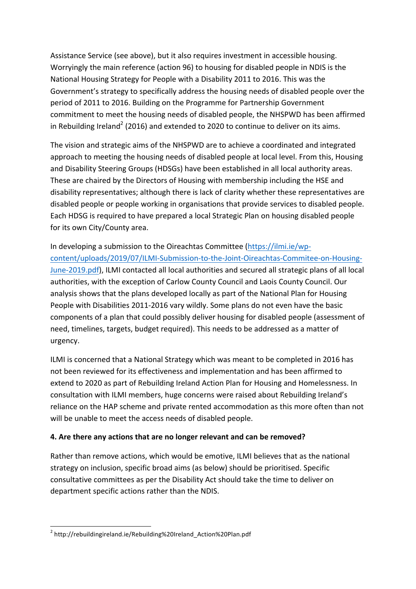Assistance Service (see above), but it also requires investment in accessible housing. Worryingly the main reference (action 96) to housing for disabled people in NDIS is the National Housing Strategy for People with a Disability 2011 to 2016. This was the Government's strategy to specifically address the housing needs of disabled people over the period of 2011 to 2016. Building on the Programme for Partnership Government commitment to meet the housing needs of disabled people, the NHSPWD has been affirmed in Rebuilding Ireland<sup>2</sup> (2016) and extended to 2020 to continue to deliver on its aims.

The vision and strategic aims of the NHSPWD are to achieve a coordinated and integrated approach to meeting the housing needs of disabled people at local level. From this, Housing and Disability Steering Groups (HDSGs) have been established in all local authority areas. These are chaired by the Directors of Housing with membership including the HSE and disability representatives; although there is lack of clarity whether these representatives are disabled people or people working in organisations that provide services to disabled people. Each HDSG is required to have prepared a local Strategic Plan on housing disabled people for its own City/County area.

In developing a submission to the Oireachtas Committee (https://ilmi.ie/wpcontent/uploads/2019/07/ILMI-Submission-to-the-Joint-Oireachtas-Commitee-on-Housing-June-2019.pdf), ILMI contacted all local authorities and secured all strategic plans of all local authorities, with the exception of Carlow County Council and Laois County Council. Our analysis shows that the plans developed locally as part of the National Plan for Housing People with Disabilities 2011-2016 vary wildly. Some plans do not even have the basic components of a plan that could possibly deliver housing for disabled people (assessment of need, timelines, targets, budget required). This needs to be addressed as a matter of urgency. 

ILMI is concerned that a National Strategy which was meant to be completed in 2016 has not been reviewed for its effectiveness and implementation and has been affirmed to extend to 2020 as part of Rebuilding Ireland Action Plan for Housing and Homelessness. In consultation with ILMI members, huge concerns were raised about Rebuilding Ireland's reliance on the HAP scheme and private rented accommodation as this more often than not will be unable to meet the access needs of disabled people.

### **4.** Are there any actions that are no longer relevant and can be removed?

Rather than remove actions, which would be emotive, ILMI believes that as the national strategy on inclusion, specific broad aims (as below) should be prioritised. Specific consultative committees as per the Disability Act should take the time to deliver on department specific actions rather than the NDIS.

<sup>&</sup>lt;u> 1989 - Jan Samuel Barbara, margaret e</u> <sup>2</sup> http://rebuildingireland.ie/Rebuilding%20Ireland Action%20Plan.pdf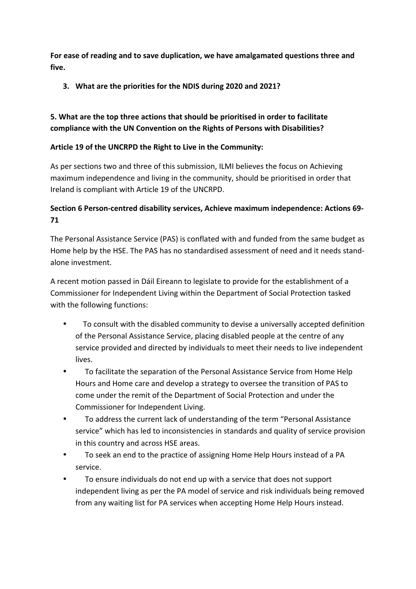For ease of reading and to save duplication, we have amalgamated questions three and five.

**3.** What are the priorities for the NDIS during 2020 and 2021?

# **5.** What are the top three actions that should be prioritised in order to facilitate compliance with the UN Convention on the Rights of Persons with Disabilities?

### Article 19 of the UNCRPD the Right to Live in the Community:

As per sections two and three of this submission, ILMI believes the focus on Achieving maximum independence and living in the community, should be prioritised in order that Ireland is compliant with Article 19 of the UNCRPD.

# **Section 6 Person-centred disability services, Achieve maximum independence: Actions 69-71**

The Personal Assistance Service (PAS) is conflated with and funded from the same budget as Home help by the HSE. The PAS has no standardised assessment of need and it needs standalone investment.

A recent motion passed in Dáil Eireann to legislate to provide for the establishment of a Commissioner for Independent Living within the Department of Social Protection tasked with the following functions:

- To consult with the disabled community to devise a universally accepted definition of the Personal Assistance Service, placing disabled people at the centre of any service provided and directed by individuals to meet their needs to live independent lives.
- To facilitate the separation of the Personal Assistance Service from Home Help Hours and Home care and develop a strategy to oversee the transition of PAS to come under the remit of the Department of Social Protection and under the Commissioner for Independent Living.
- To address the current lack of understanding of the term "Personal Assistance" service" which has led to inconsistencies in standards and quality of service provision in this country and across HSE areas.
- To seek an end to the practice of assigning Home Help Hours instead of a PA service.
- To ensure individuals do not end up with a service that does not support independent living as per the PA model of service and risk individuals being removed from any waiting list for PA services when accepting Home Help Hours instead.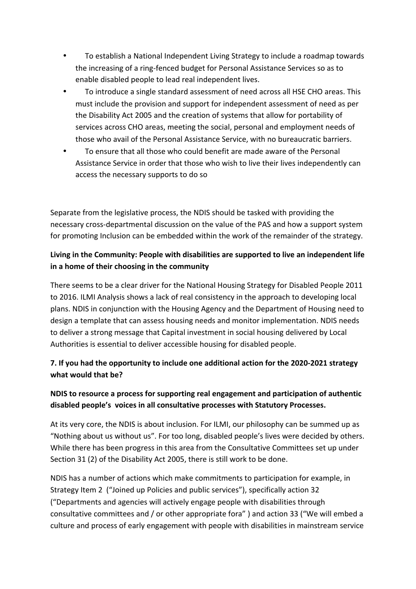- To establish a National Independent Living Strategy to include a roadmap towards the increasing of a ring-fenced budget for Personal Assistance Services so as to enable disabled people to lead real independent lives.
- To introduce a single standard assessment of need across all HSE CHO areas. This must include the provision and support for independent assessment of need as per the Disability Act 2005 and the creation of systems that allow for portability of services across CHO areas, meeting the social, personal and employment needs of those who avail of the Personal Assistance Service, with no bureaucratic barriers.
- To ensure that all those who could benefit are made aware of the Personal Assistance Service in order that those who wish to live their lives independently can access the necessary supports to do so

Separate from the legislative process, the NDIS should be tasked with providing the necessary cross-departmental discussion on the value of the PAS and how a support system for promoting Inclusion can be embedded within the work of the remainder of the strategy.

# **Living in the Community: People with disabilities are supported to live an independent life in a home of their choosing in the community**

There seems to be a clear driver for the National Housing Strategy for Disabled People 2011 to 2016. ILMI Analysis shows a lack of real consistency in the approach to developing local plans. NDIS in conjunction with the Housing Agency and the Department of Housing need to design a template that can assess housing needs and monitor implementation. NDIS needs to deliver a strong message that Capital investment in social housing delivered by Local Authorities is essential to deliver accessible housing for disabled people.

# **7.** If you had the opportunity to include one additional action for the 2020-2021 strategy what would that be?

## **NDIS** to resource a process for supporting real engagement and participation of authentic disabled people's voices in all consultative processes with Statutory Processes.

At its very core, the NDIS is about inclusion. For ILMI, our philosophy can be summed up as "Nothing about us without us". For too long, disabled people's lives were decided by others. While there has been progress in this area from the Consultative Committees set up under Section 31 (2) of the Disability Act 2005, there is still work to be done.

NDIS has a number of actions which make commitments to participation for example, in Strategy Item 2 ("Joined up Policies and public services"), specifically action 32 ("Departments and agencies will actively engage people with disabilities through consultative committees and / or other appropriate fora" ) and action 33 ("We will embed a culture and process of early engagement with people with disabilities in mainstream service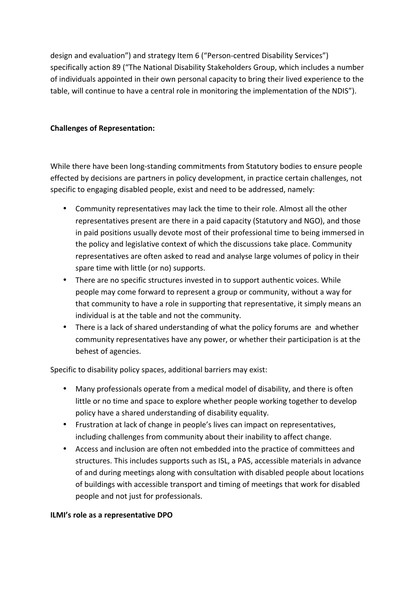design and evaluation") and strategy Item 6 ("Person-centred Disability Services") specifically action 89 ("The National Disability Stakeholders Group, which includes a number of individuals appointed in their own personal capacity to bring their lived experience to the table, will continue to have a central role in monitoring the implementation of the NDIS").

### **Challenges of Representation:**

While there have been long-standing commitments from Statutory bodies to ensure people effected by decisions are partners in policy development, in practice certain challenges, not specific to engaging disabled people, exist and need to be addressed, namely:

- Community representatives may lack the time to their role. Almost all the other representatives present are there in a paid capacity (Statutory and NGO), and those in paid positions usually devote most of their professional time to being immersed in the policy and legislative context of which the discussions take place. Community representatives are often asked to read and analyse large volumes of policy in their spare time with little (or no) supports.
- There are no specific structures invested in to support authentic voices. While people may come forward to represent a group or community, without a way for that community to have a role in supporting that representative, it simply means an individual is at the table and not the community.
- There is a lack of shared understanding of what the policy forums are and whether community representatives have any power, or whether their participation is at the behest of agencies.

Specific to disability policy spaces, additional barriers may exist:

- Many professionals operate from a medical model of disability, and there is often little or no time and space to explore whether people working together to develop policy have a shared understanding of disability equality.
- Frustration at lack of change in people's lives can impact on representatives, including challenges from community about their inability to affect change.
- Access and inclusion are often not embedded into the practice of committees and structures. This includes supports such as ISL, a PAS, accessible materials in advance of and during meetings along with consultation with disabled people about locations of buildings with accessible transport and timing of meetings that work for disabled people and not just for professionals.

### **ILMI's role as a representative DPO**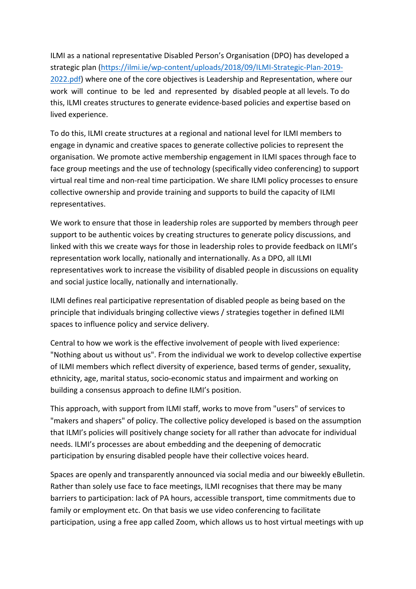ILMI as a national representative Disabled Person's Organisation (DPO) has developed a strategic plan (https://ilmi.ie/wp-content/uploads/2018/09/ILMI-Strategic-Plan-2019-2022.pdf) where one of the core objectives is Leadership and Representation, where our work will continue to be led and represented by disabled people at all levels. To do this, ILMI creates structures to generate evidence-based policies and expertise based on lived experience.

To do this, ILMI create structures at a regional and national level for ILMI members to engage in dynamic and creative spaces to generate collective policies to represent the organisation. We promote active membership engagement in ILMI spaces through face to face group meetings and the use of technology (specifically video conferencing) to support virtual real time and non-real time participation. We share ILMI policy processes to ensure collective ownership and provide training and supports to build the capacity of ILMI representatives.

We work to ensure that those in leadership roles are supported by members through peer support to be authentic voices by creating structures to generate policy discussions, and linked with this we create ways for those in leadership roles to provide feedback on ILMI's representation work locally, nationally and internationally. As a DPO, all ILMI representatives work to increase the visibility of disabled people in discussions on equality and social justice locally, nationally and internationally.

ILMI defines real participative representation of disabled people as being based on the principle that individuals bringing collective views / strategies together in defined ILMI spaces to influence policy and service delivery.

Central to how we work is the effective involvement of people with lived experience: "Nothing about us without us". From the individual we work to develop collective expertise of ILMI members which reflect diversity of experience, based terms of gender, sexuality, ethnicity, age, marital status, socio-economic status and impairment and working on building a consensus approach to define ILMI's position.

This approach, with support from ILMI staff, works to move from "users" of services to "makers and shapers" of policy. The collective policy developed is based on the assumption that ILMI's policies will positively change society for all rather than advocate for individual needs. ILMI's processes are about embedding and the deepening of democratic participation by ensuring disabled people have their collective voices heard.

Spaces are openly and transparently announced via social media and our biweekly eBulletin. Rather than solely use face to face meetings, ILMI recognises that there may be many barriers to participation: lack of PA hours, accessible transport, time commitments due to family or employment etc. On that basis we use video conferencing to facilitate participation, using a free app called Zoom, which allows us to host virtual meetings with up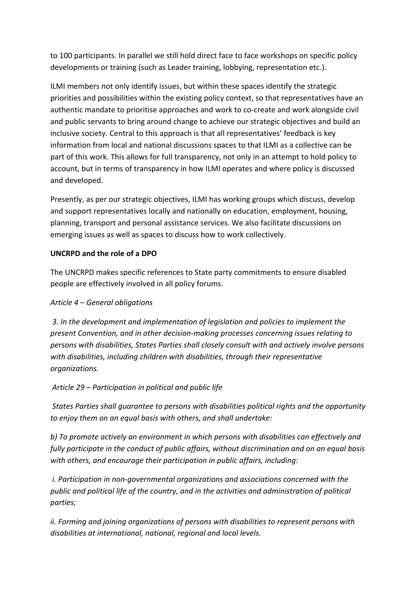to 100 participants. In parallel we still hold direct face to face workshops on specific policy developments or training (such as Leader training, lobbying, representation etc.).

ILMI members not only identify issues, but within these spaces identify the strategic priorities and possibilities within the existing policy context, so that representatives have an authentic mandate to prioritise approaches and work to co-create and work alongside civil and public servants to bring around change to achieve our strategic objectives and build an inclusive society. Central to this approach is that all representatives' feedback is key information from local and national discussions spaces to that ILMI as a collective can be part of this work. This allows for full transparency, not only in an attempt to hold policy to account, but in terms of transparency in how ILMI operates and where policy is discussed and developed.

Presently, as per our strategic objectives, ILMI has working groups which discuss, develop and support representatives locally and nationally on education, employment, housing, planning, transport and personal assistance services. We also facilitate discussions on emerging issues as well as spaces to discuss how to work collectively.

### **UNCRPD** and the role of a DPO

The UNCRPD makes specific references to State party commitments to ensure disabled people are effectively involved in all policy forums.

### *Article 4 – General obligations*

3. In the development and implementation of legislation and policies to implement the *present Convention, and in other decision-making processes concerning issues relating to persons* with disabilities, States Parties shall closely consult with and actively involve persons with disabilities, including children with disabilities, through their representative *organizations.*

### Article 29 – Participation in political and public life

States Parties shall quarantee to persons with disabilities political rights and the opportunity *to enjoy them on an equal basis with others, and shall undertake:* 

b) To promote actively an environment in which persons with disabilities can effectively and fully participate in the conduct of public affairs, without discrimination and on an equal basis with others, and encourage their participation in public affairs, including:

*i.* Participation in non-governmental organizations and associations concerned with the public and political life of the country, and in the activities and administration of political *parties;*

*ii.* Forming and joining organizations of persons with disabilities to represent persons with disabilities at international, national, regional and local levels.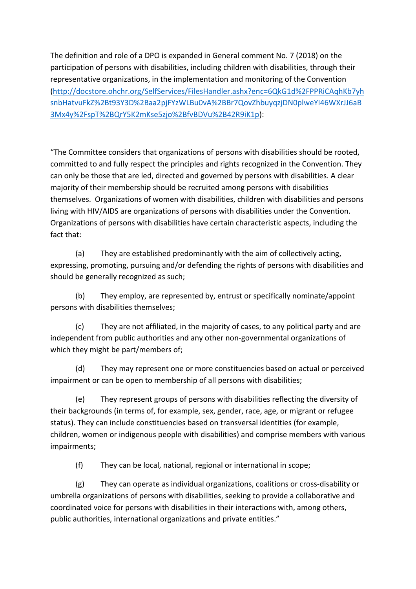The definition and role of a DPO is expanded in General comment No. 7 (2018) on the participation of persons with disabilities, including children with disabilities, through their representative organizations, in the implementation and monitoring of the Convention (http://docstore.ohchr.org/SelfServices/FilesHandler.ashx?enc=6QkG1d%2FPPRiCAqhKb7yh snbHatvuFkZ%2Bt93Y3D%2Baa2pjFYzWLBu0vA%2BBr7QovZhbuyqzjDN0plweYI46WXrJJ6aB 3Mx4y%2FspT%2BQrY5K2mKse5zjo%2BfvBDVu%2B42R9iK1p): 

"The Committee considers that organizations of persons with disabilities should be rooted, committed to and fully respect the principles and rights recognized in the Convention. They can only be those that are led, directed and governed by persons with disabilities. A clear majority of their membership should be recruited among persons with disabilities themselves. Organizations of women with disabilities, children with disabilities and persons living with HIV/AIDS are organizations of persons with disabilities under the Convention. Organizations of persons with disabilities have certain characteristic aspects, including the fact that:

(a) They are established predominantly with the aim of collectively acting, expressing, promoting, pursuing and/or defending the rights of persons with disabilities and should be generally recognized as such;

(b) They employ, are represented by, entrust or specifically nominate/appoint persons with disabilities themselves;

(c) They are not affiliated, in the majority of cases, to any political party and are independent from public authorities and any other non-governmental organizations of which they might be part/members of;

(d) They may represent one or more constituencies based on actual or perceived impairment or can be open to membership of all persons with disabilities;

(e) They represent groups of persons with disabilities reflecting the diversity of their backgrounds (in terms of, for example, sex, gender, race, age, or migrant or refugee status). They can include constituencies based on transversal identities (for example, children, women or indigenous people with disabilities) and comprise members with various impairments;

 $(f)$  They can be local, national, regional or international in scope;

(g) They can operate as individual organizations, coalitions or cross-disability or umbrella organizations of persons with disabilities, seeking to provide a collaborative and coordinated voice for persons with disabilities in their interactions with, among others, public authorities, international organizations and private entities."